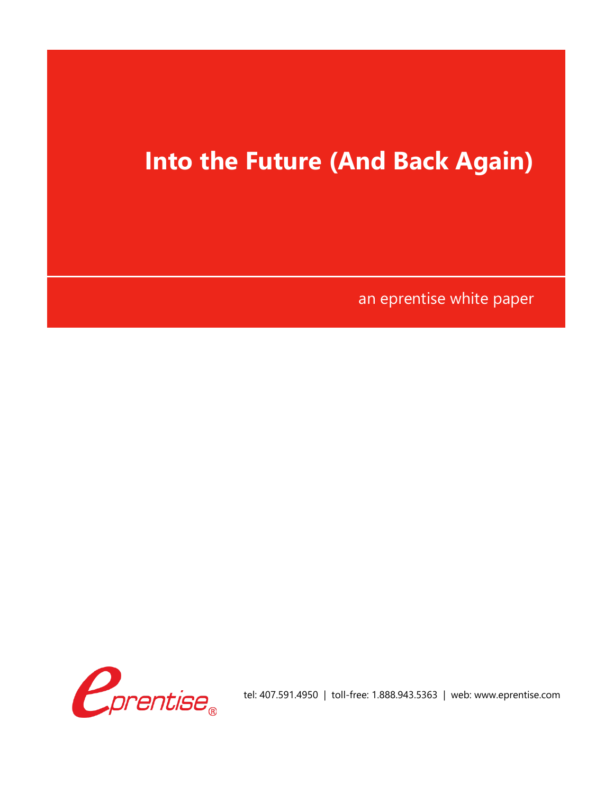## **Into the Future (And Back Again)**

an eprentise white paper

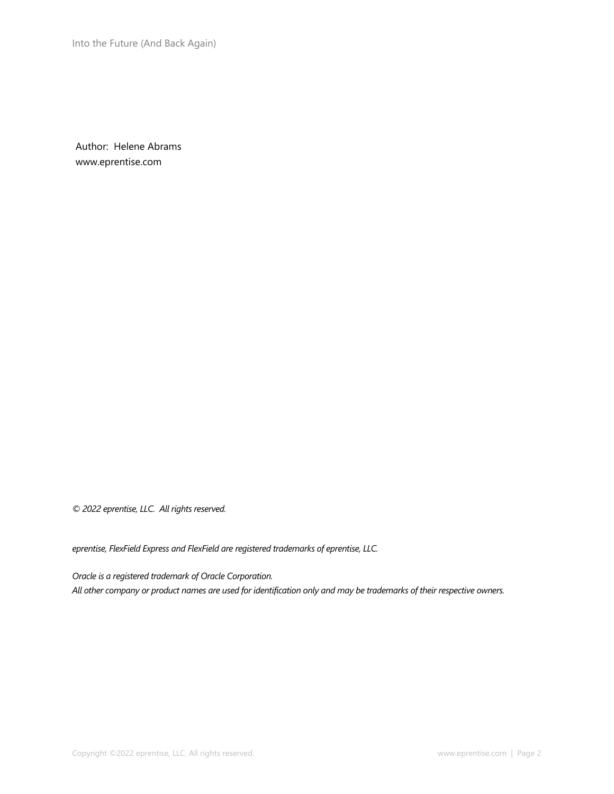Into the Future (And Back Again)

Author: Helene Abrams www.eprentise.com

*© 2022 eprentise, LLC. All rights reserved.*

*eprentise, FlexField Express and FlexField are registered trademarks of eprentise, LLC.*

*Oracle is a registered trademark of Oracle Corporation. All other company or product names are used for identification only and may be trademarks of their respective owners.*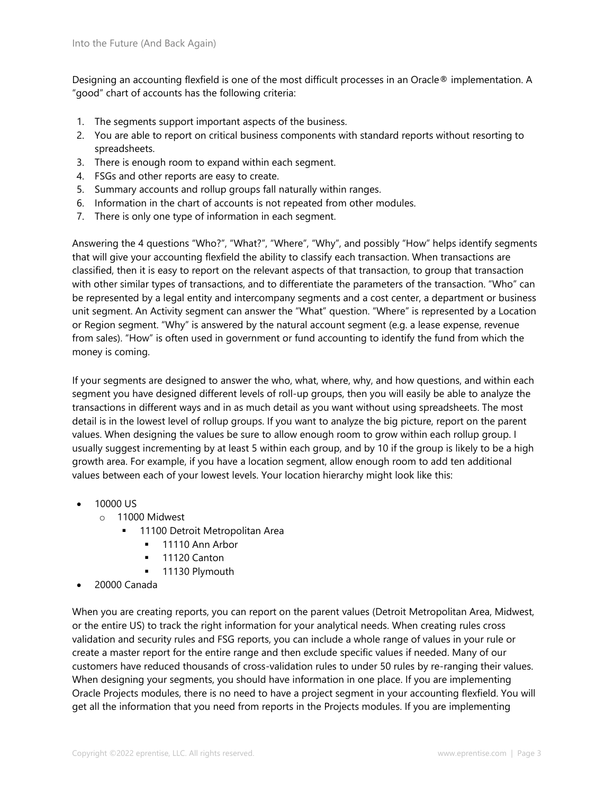Designing an accounting flexfield is one of the most difficult processes in an Oracle® implementation. A "good" chart of accounts has the following criteria:

- 1. The segments support important aspects of the business.
- 2. You are able to report on critical business components with standard reports without resorting to spreadsheets.
- 3. There is enough room to expand within each segment.
- 4. FSGs and other reports are easy to create.
- 5. Summary accounts and rollup groups fall naturally within ranges.
- 6. Information in the chart of accounts is not repeated from other modules.
- 7. There is only one type of information in each segment.

Answering the 4 questions "Who?", "What?", "Where", "Why", and possibly "How" helps identify segments that will give your accounting flexfield the ability to classify each transaction. When transactions are classified, then it is easy to report on the relevant aspects of that transaction, to group that transaction with other similar types of transactions, and to differentiate the parameters of the transaction. "Who" can be represented by a legal entity and intercompany segments and a cost center, a department or business unit segment. An Activity segment can answer the "What" question. "Where" is represented by a Location or Region segment. "Why" is answered by the natural account segment (e.g. a lease expense, revenue from sales). "How" is often used in government or fund accounting to identify the fund from which the money is coming.

If your segments are designed to answer the who, what, where, why, and how questions, and within each segment you have designed different levels of roll-up groups, then you will easily be able to analyze the transactions in different ways and in as much detail as you want without using spreadsheets. The most detail is in the lowest level of rollup groups. If you want to analyze the big picture, report on the parent values. When designing the values be sure to allow enough room to grow within each rollup group. I usually suggest incrementing by at least 5 within each group, and by 10 if the group is likely to be a high growth area. For example, if you have a location segment, allow enough room to add ten additional values between each of your lowest levels. Your location hierarchy might look like this:

- 10000 US
	- o 11000 Midwest
		- 11100 Detroit Metropolitan Area
			- **■** 11110 Ann Arbor
			- **■** 11120 Canton
			- **■** 11130 Plymouth
- 20000 Canada

When you are creating reports, you can report on the parent values (Detroit Metropolitan Area, Midwest, or the entire US) to track the right information for your analytical needs. When creating rules cross validation and security rules and FSG reports, you can include a whole range of values in your rule or create a master report for the entire range and then exclude specific values if needed. Many of our customers have reduced thousands of cross-validation rules to under 50 rules by re-ranging their values. When designing your segments, you should have information in one place. If you are implementing Oracle Projects modules, there is no need to have a project segment in your accounting flexfield. You will get all the information that you need from reports in the Projects modules. If you are implementing